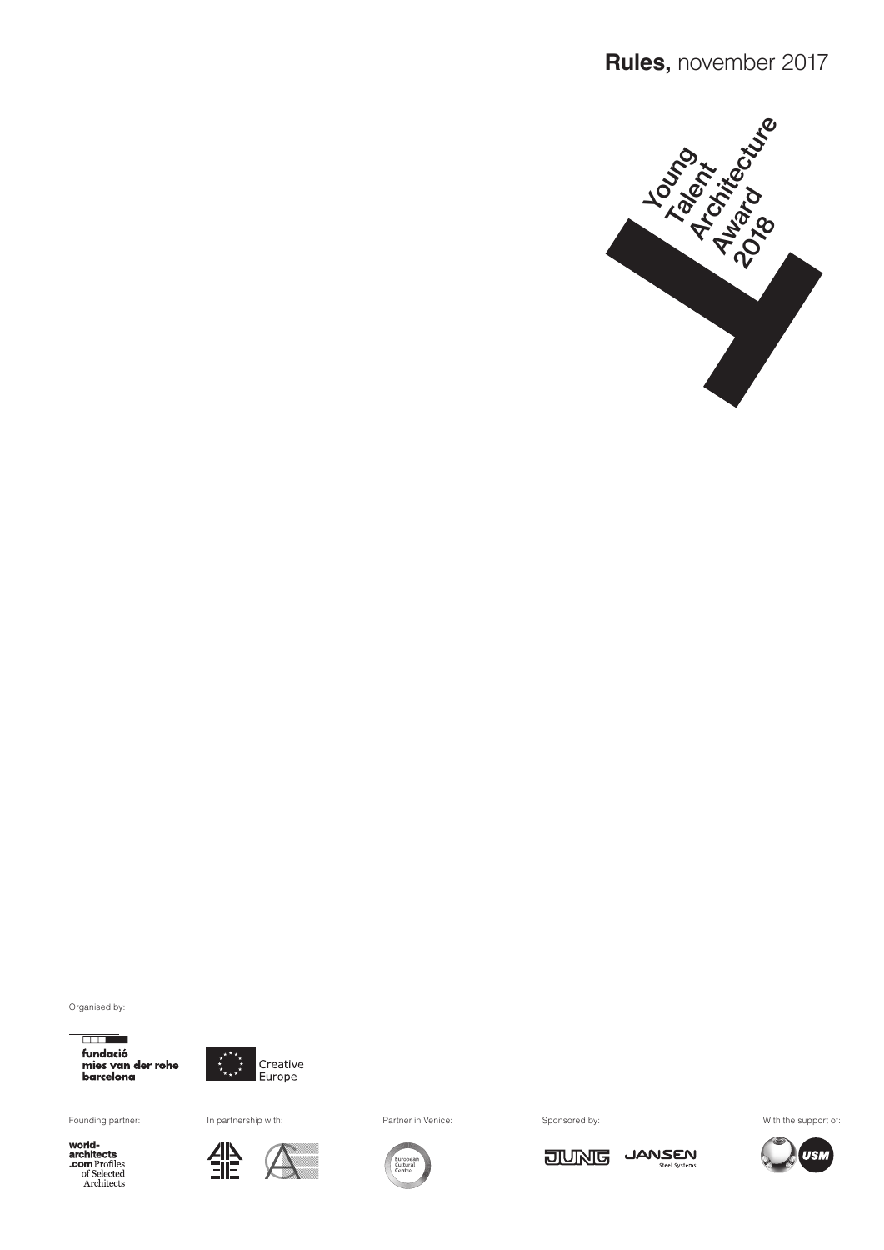

Organised by:

 $\overline{\phantom{a}}$ fundació mies van der rohe<br>barcelona



Founding partner: In partnership with: Partner in Venice: Sponsored by: Sponsored by: With the support of:

**world-**<br>**com** Profiles<br>of Selected<br>Architects

雏



**JUNG** 

JANSEN

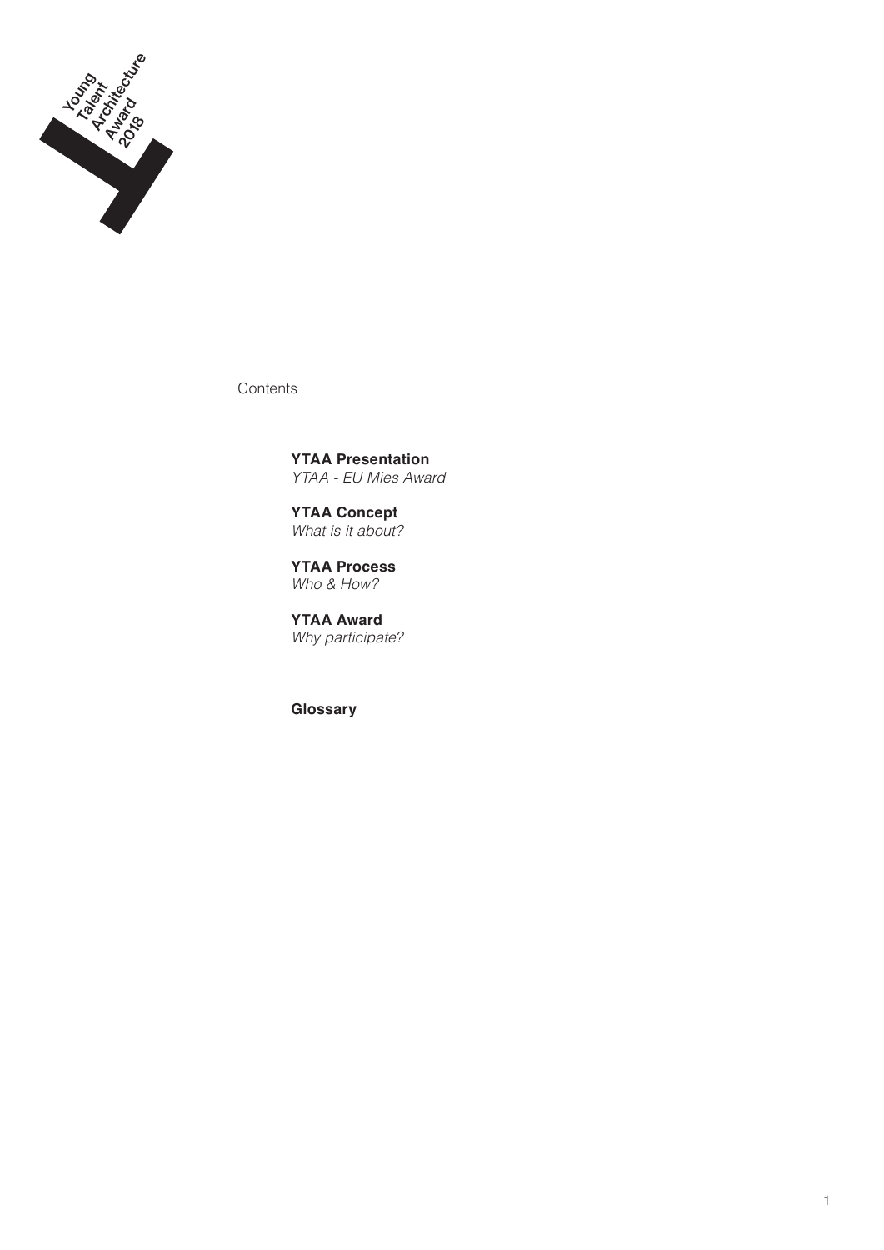

**Contents** 

**YTAA Presentation** *YTAA - EU Mies Award*

**YTAA Concept** *What is it about?*

**YTAA Process** *Who & How?*

**YTAA Award** *Why participate?*

**Glossary**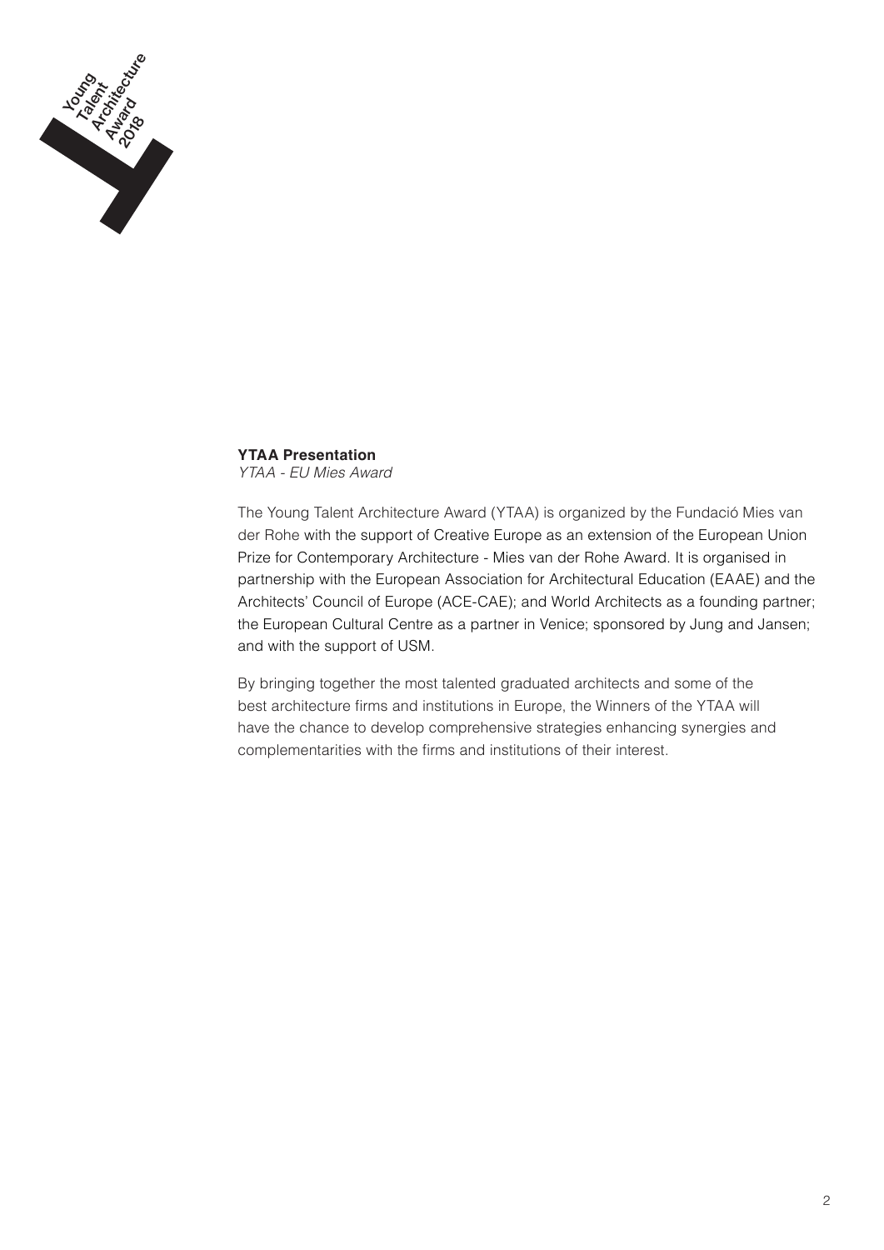

# **YTAA Presentation**

*YTAA - EU Mies Award*

The Young Talent Architecture Award (YTAA) is organized by the Fundació Mies van der Rohe with the support of Creative Europe as an extension of the European Union Prize for Contemporary Architecture - Mies van der Rohe Award. It is organised in partnership with the European Association for Architectural Education (EAAE) and the Architects' Council of Europe (ACE-CAE); and World Architects as a founding partner; the European Cultural Centre as a partner in Venice; sponsored by Jung and Jansen; and with the support of USM.

By bringing together the most talented graduated architects and some of the best architecture firms and institutions in Europe, the Winners of the YTAA will have the chance to develop comprehensive strategies enhancing synergies and complementarities with the firms and institutions of their interest.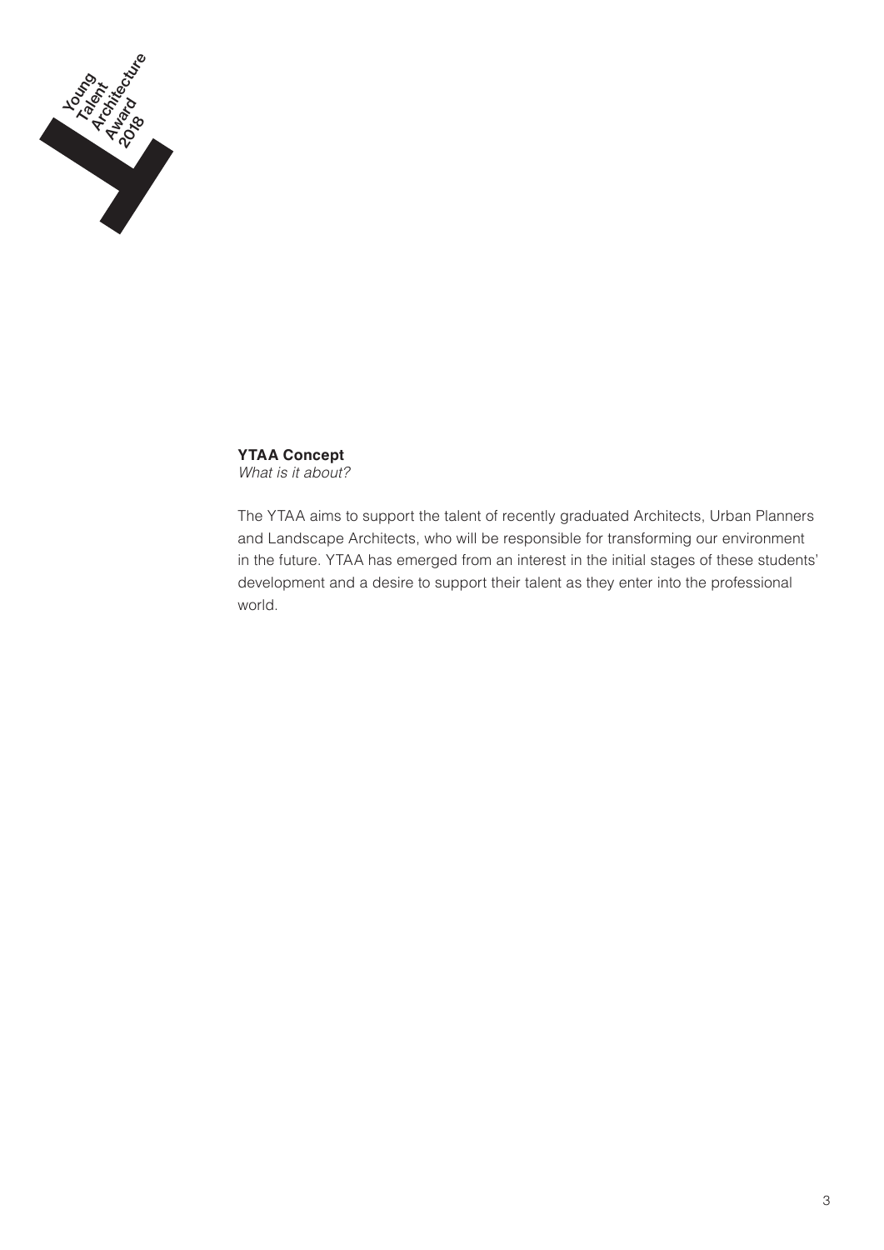

**YTAA Concept** *What is it about?*

The YTAA aims to support the talent of recently graduated Architects, Urban Planners and Landscape Architects, who will be responsible for transforming our environment in the future. YTAA has emerged from an interest in the initial stages of these students' development and a desire to support their talent as they enter into the professional world.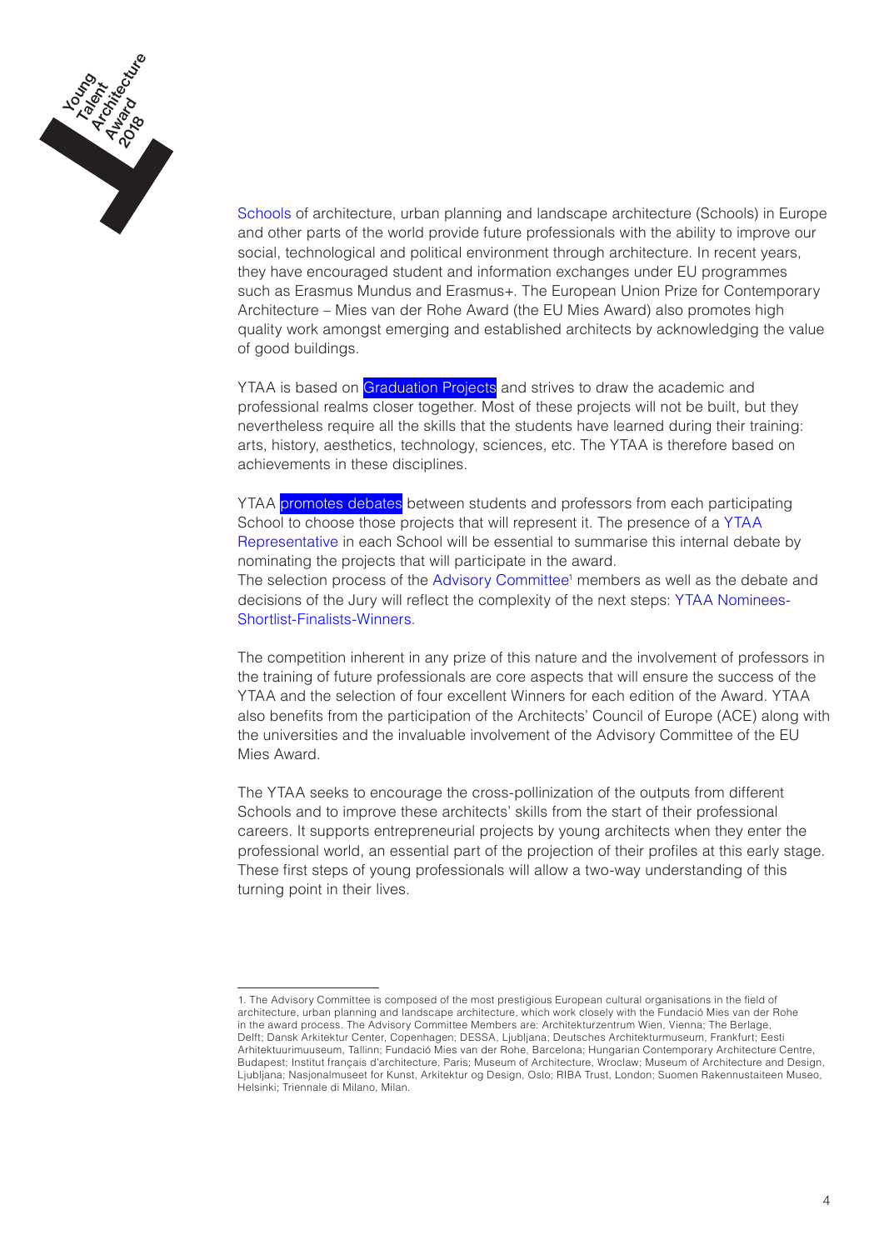

Schools of architecture, urban planning and landscape architecture (Schools) in Europe and other parts of the world provide future professionals with the ability to improve our social, technological and political environment through architecture. In recent years, they have encouraged student and information exchanges under EU programmes such as Erasmus Mundus and Erasmus+. The European Union Prize for Contemporary Architecture – Mies van der Rohe Award (the EU Mies Award) also promotes high quality work amongst emerging and established architects by acknowledging the value of good buildings.

YTAA is based on Graduation Projects and strives to draw the academic and professional realms closer together. Most of these projects will not be built, but they nevertheless require all the skills that the students have learned during their training: arts, history, aesthetics, technology, sciences, etc. The YTAA is therefore based on achievements in these disciplines.

YTAA promotes debates between students and professors from each participating School to choose those projects that will represent it. The presence of a YTAA Representative in each School will be essential to summarise this internal debate by nominating the projects that will participate in the award. The selection process of the Advisory Committee<sup>1</sup> members as well as the debate and decisions of the Jury will reflect the complexity of the next steps: YTAA Nominees-Shortlist-Finalists-Winners.

The competition inherent in any prize of this nature and the involvement of professors in the training of future professionals are core aspects that will ensure the success of the YTAA and the selection of four excellent Winners for each edition of the Award. YTAA also benefits from the participation of the Architects' Council of Europe (ACE) along with the universities and the invaluable involvement of the Advisory Committee of the EU Mies Award.

The YTAA seeks to encourage the cross-pollinization of the outputs from different Schools and to improve these architects' skills from the start of their professional careers. It supports entrepreneurial projects by young architects when they enter the professional world, an essential part of the projection of their profiles at this early stage. These first steps of young professionals will allow a two-way understanding of this turning point in their lives.

<sup>1.</sup> The Advisory Committee is composed of the most prestigious European cultural organisations in the field of architecture, urban planning and landscape architecture, which work closely with the Fundació Mies van der Rohe in the award process. The Advisory Committee Members are: Architekturzentrum Wien, Vienna; The Berlage, Delft; Dansk Arkitektur Center, Copenhagen; DESSA, Ljubljana; Deutsches Architekturmuseum, Frankfurt; Eesti Arhitektuurimuuseum, Tallinn; Fundació Mies van der Rohe, Barcelona; Hungarian Contemporary Architecture Centre, Budapest; Institut français d'architecture, Paris; Museum of Architecture, Wroclaw; Museum of Architecture and Design, Ljubljana; Nasjonalmuseet for Kunst, Arkitektur og Design, Oslo; RIBA Trust, London; Suomen Rakennustaiteen Museo, Helsinki; Triennale di Milano, Milan.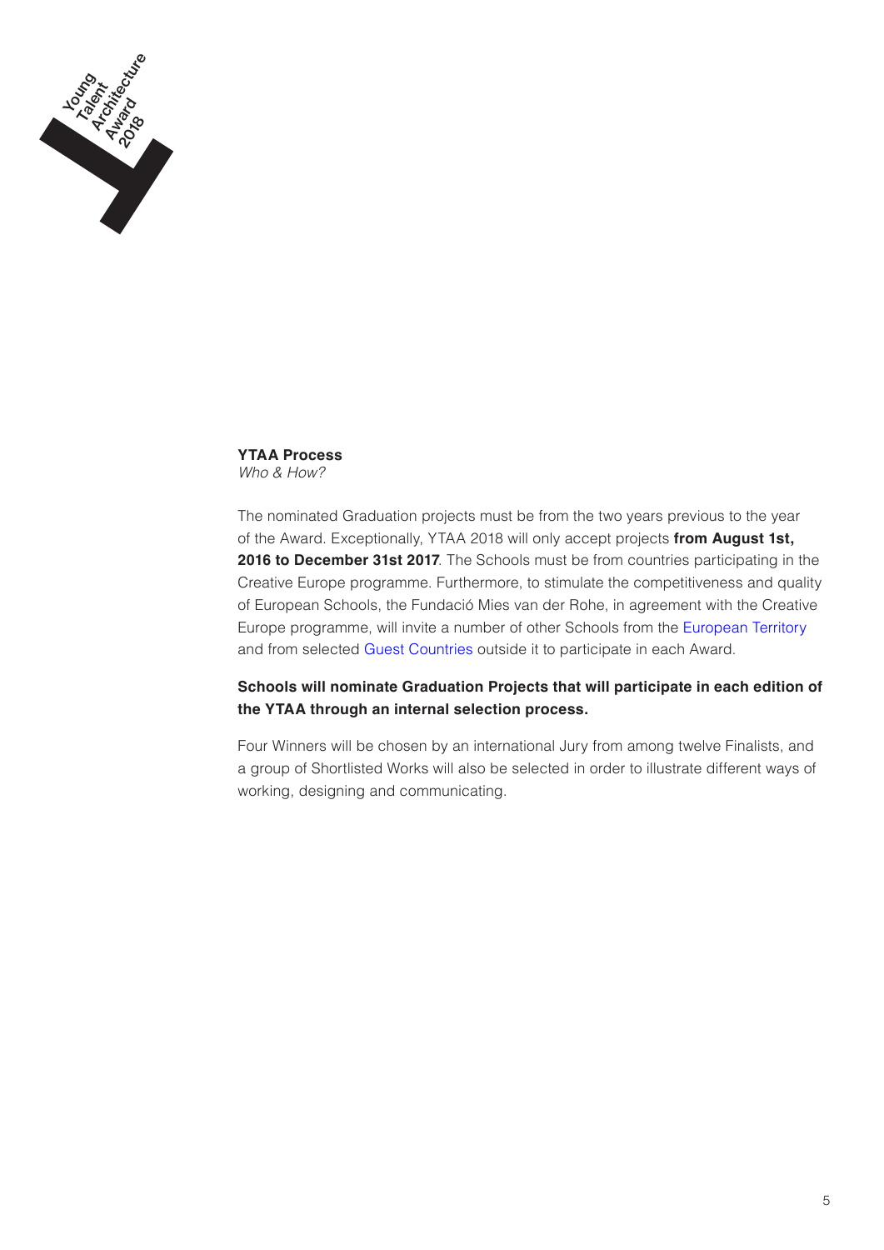

**YTAA Process** *Who & How?*

The nominated Graduation projects must be from the two years previous to the year of the Award. Exceptionally, YTAA 2018 will only accept projects **from August 1st, 2016 to December 31st 2017**. The Schools must be from countries participating in the Creative Europe programme. Furthermore, to stimulate the competitiveness and quality of European Schools, the Fundació Mies van der Rohe, in agreement with the Creative Europe programme, will invite a number of other Schools from the European Territory and from selected Guest Countries outside it to participate in each Award.

# **Schools will nominate Graduation Projects that will participate in each edition of the YTAA through an internal selection process.**

Four Winners will be chosen by an international Jury from among twelve Finalists, and a group of Shortlisted Works will also be selected in order to illustrate different ways of working, designing and communicating.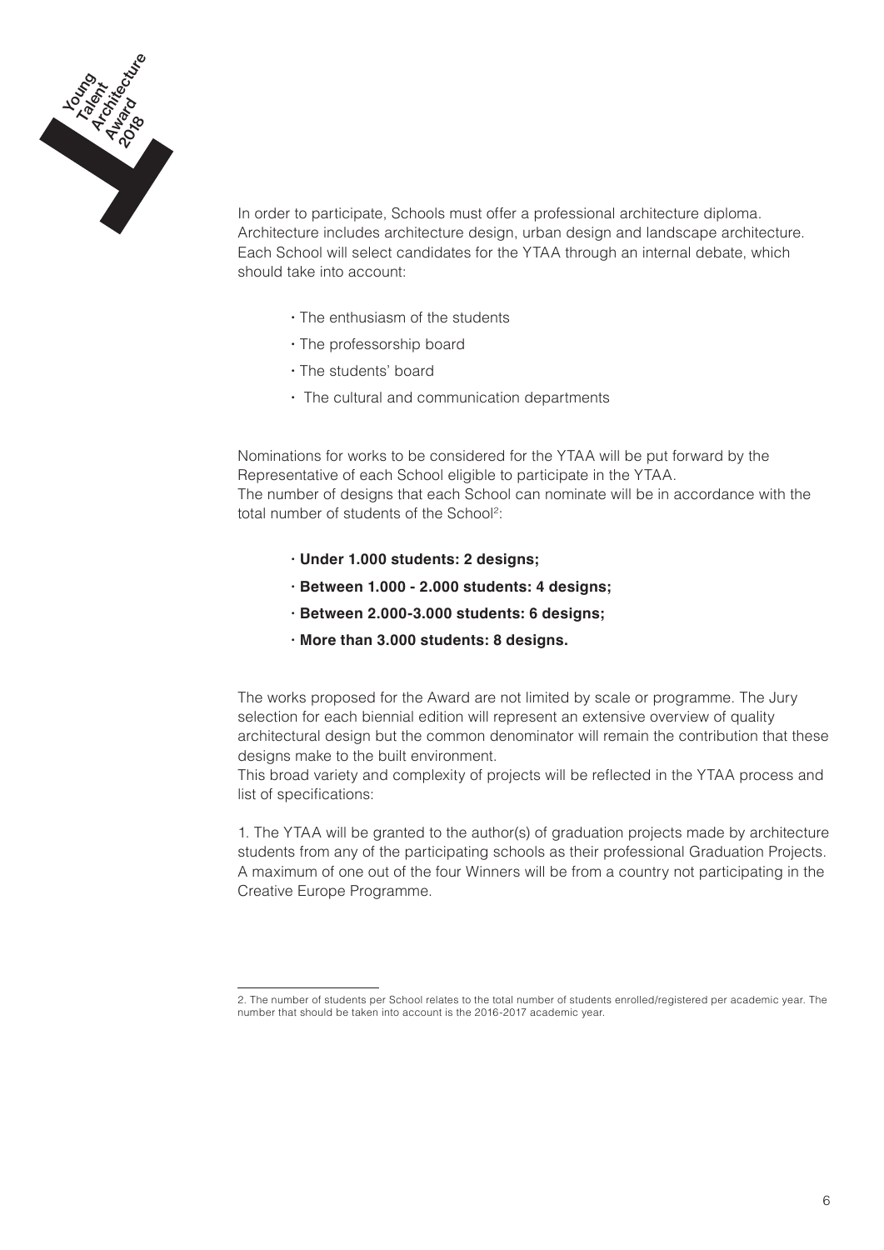

In order to participate, Schools must offer a professional architecture diploma. Architecture includes architecture design, urban design and landscape architecture. Each School will select candidates for the YTAA through an internal debate, which should take into account:

- **·** The enthusiasm of the students
- **·** The professorship board
- **·** The students' board
- **·** The cultural and communication departments

Nominations for works to be considered for the YTAA will be put forward by the Representative of each School eligible to participate in the YTAA. The number of designs that each School can nominate will be in accordance with the total number of students of the School2:

- **· Under 1.000 students: 2 designs;**
- **· Between 1.000 2.000 students: 4 designs;**
- **· Between 2.000-3.000 students: 6 designs;**
- **· More than 3.000 students: 8 designs.**

The works proposed for the Award are not limited by scale or programme. The Jury selection for each biennial edition will represent an extensive overview of quality architectural design but the common denominator will remain the contribution that these designs make to the built environment.

This broad variety and complexity of projects will be reflected in the YTAA process and list of specifications:

1. The YTAA will be granted to the author(s) of graduation projects made by architecture students from any of the participating schools as their professional Graduation Projects. A maximum of one out of the four Winners will be from a country not participating in the Creative Europe Programme.

<sup>2.</sup> The number of students per School relates to the total number of students enrolled/registered per academic year. The number that should be taken into account is the 2016-2017 academic year.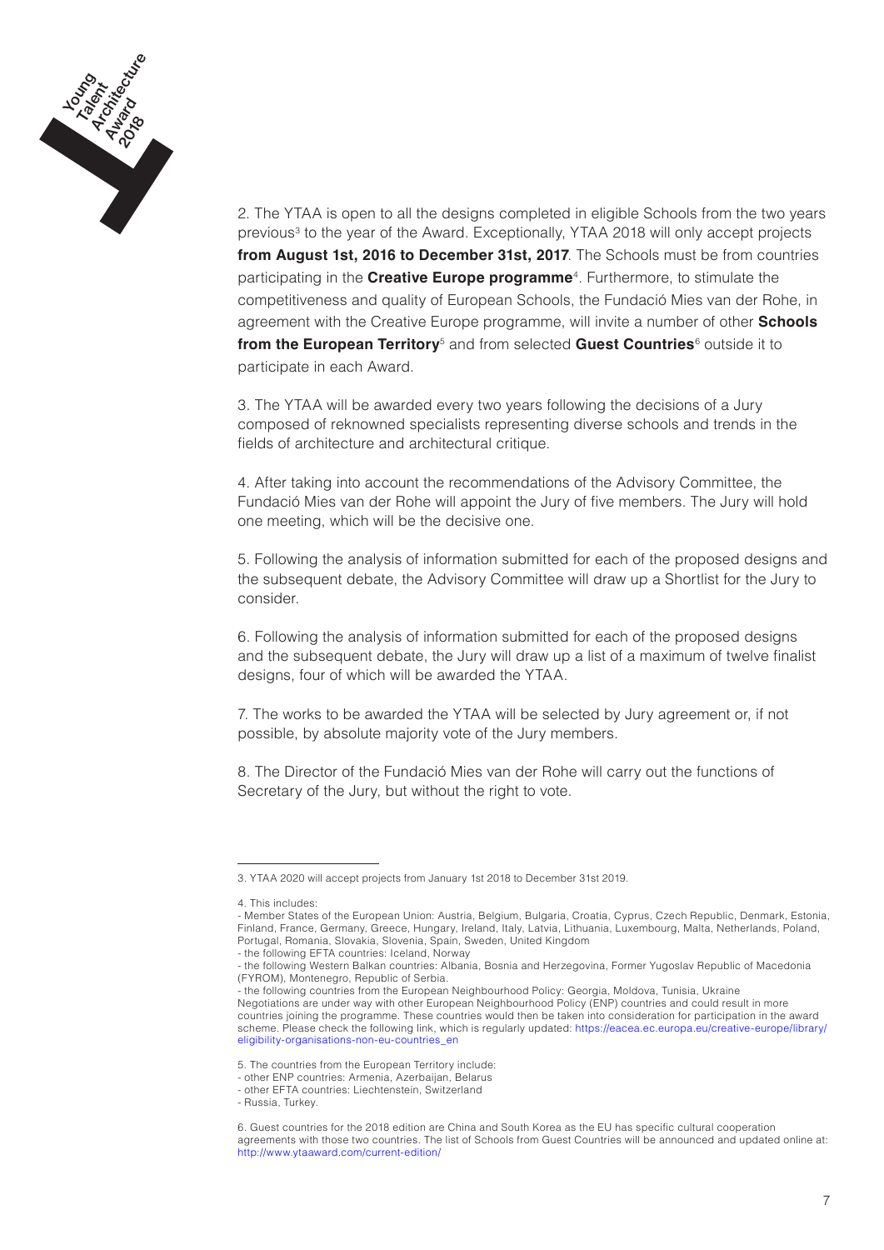

2. The YTAA is open to all the designs completed in eligible Schools from the two years previous<sup>3</sup> to the year of the Award. Exceptionally, YTAA 2018 will only accept projects **from August 1st, 2016 to December 31st, 2017**. The Schools must be from countries participating in the **Creative Europe programme**<sup>4</sup>. Furthermore, to stimulate the competitiveness and quality of European Schools, the Fundació Mies van der Rohe, in agreement with the Creative Europe programme, will invite a number of other **Schools from the European Territory**<sup>5</sup> and from selected **Guest Countries**<sup>6</sup> outside it to participate in each Award.

3. The YTAA will be awarded every two years following the decisions of a Jury composed of reknowned specialists representing diverse schools and trends in the fields of architecture and architectural critique.

4. After taking into account the recommendations of the Advisory Committee, the Fundació Mies van der Rohe will appoint the Jury of five members. The Jury will hold one meeting, which will be the decisive one.

5. Following the analysis of information submitted for each of the proposed designs and the subsequent debate, the Advisory Committee will draw up a Shortlist for the Jury to consider.

6. Following the analysis of information submitted for each of the proposed designs and the subsequent debate, the Jury will draw up a list of a maximum of twelve finalist designs, four of which will be awarded the YTAA.

7. The works to be awarded the YTAA will be selected by Jury agreement or, if not possible, by absolute majority vote of the Jury members.

8. The Director of the Fundació Mies van der Rohe will carry out the functions of Secretary of the Jury, but without the right to vote.

<sup>3.</sup> YTAA 2020 will accept projects from January 1st 2018 to December 31st 2019.

<sup>4.</sup> This includes:

<sup>-</sup> Member States of the European Union: Austria, Belgium, Bulgaria, Croatia, Cyprus, Czech Republic, Denmark, Estonia, Finland, France, Germany, Greece, Hungary, Ireland, Italy, Latvia, Lithuania, Luxembourg, Malta, Netherlands, Poland, Portugal, Romania, Slovakia, Slovenia, Spain, Sweden, United Kingdom - the following EFTA countries: Iceland, Norway

<sup>-</sup> the following Western Balkan countries: Albania, Bosnia and Herzegovina, Former Yugoslav Republic of Macedonia (FYROM), Montenegro, Republic of Serbia.

<sup>-</sup> the following countries from the European Neighbourhood Policy: Georgia, Moldova, Tunisia, Ukraine Negotiations are under way with other European Neighbourhood Policy (ENP) countries and could result in more countries joining the programme. These countries would then be taken into consideration for participation in the award scheme. Please check the following link, which is regularly updated: https://eacea.ec.europa.eu/creative-europe/library/ eligibility-organisations-non-eu-countries\_en

<sup>5.</sup> The countries from the European Territory include:

<sup>-</sup> other ENP countries: Armenia, Azerbaijan, Belarus

<sup>-</sup> other EFTA countries: Liechtenstein, Switzerland

<sup>-</sup> Russia, Turkey.

<sup>6.</sup> Guest countries for the 2018 edition are China and South Korea as the EU has specific cultural cooperation agreements with those two countries. The list of Schools from Guest Countries will be announced and updated online at: http://www.ytaaward.com/current-edition/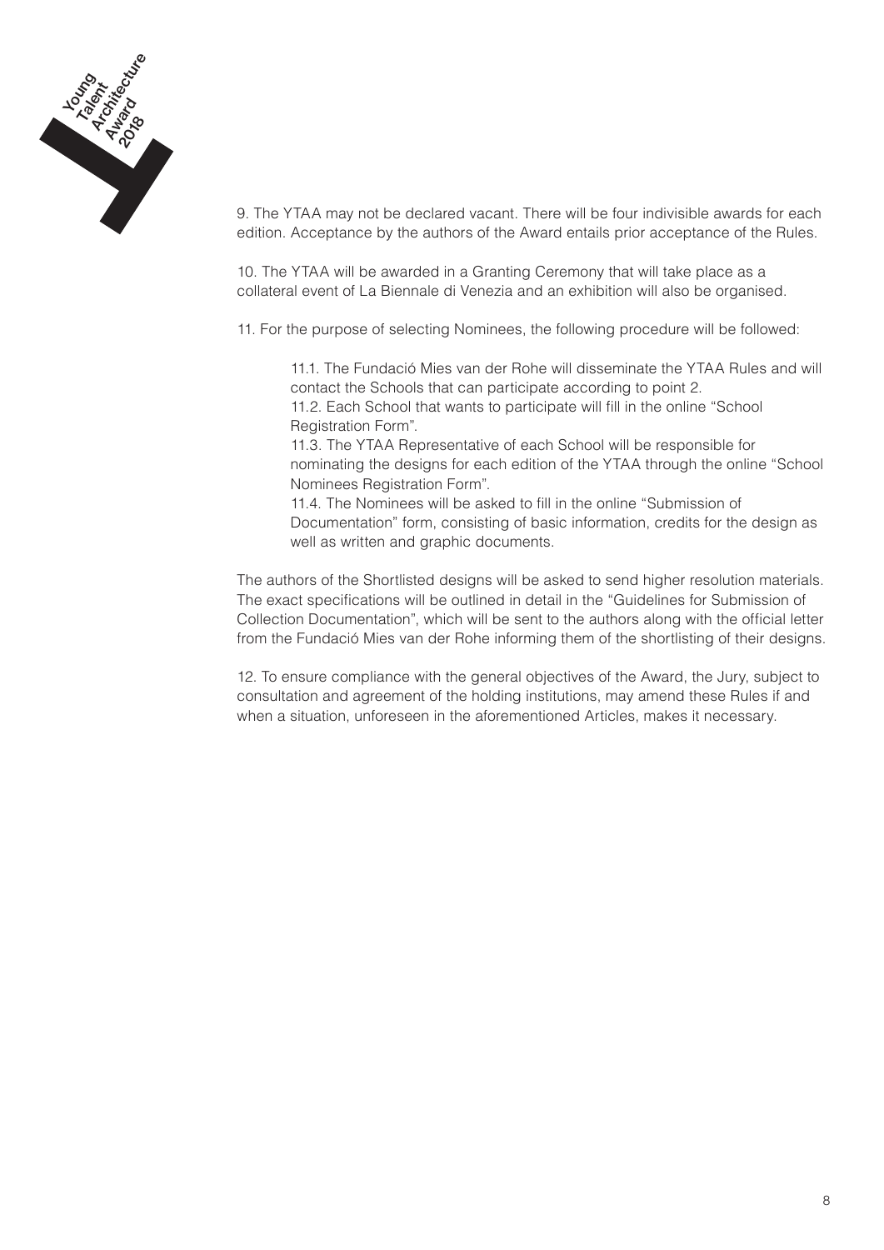

9. The YTAA may not be declared vacant. There will be four indivisible awards for each edition. Acceptance by the authors of the Award entails prior acceptance of the Rules.

10. The YTAA will be awarded in a Granting Ceremony that will take place as a collateral event of La Biennale di Venezia and an exhibition will also be organised.

11. For the purpose of selecting Nominees, the following procedure will be followed:

11.1. The Fundació Mies van der Rohe will disseminate the YTAA Rules and will contact the Schools that can participate according to point 2. 11.2. Each School that wants to participate will fill in the online "School Registration Form".

11.3. The YTAA Representative of each School will be responsible for nominating the designs for each edition of the YTAA through the online "School Nominees Registration Form".

11.4. The Nominees will be asked to fill in the online "Submission of Documentation" form, consisting of basic information, credits for the design as well as written and graphic documents.

The authors of the Shortlisted designs will be asked to send higher resolution materials. The exact specifications will be outlined in detail in the "Guidelines for Submission of Collection Documentation", which will be sent to the authors along with the official letter from the Fundació Mies van der Rohe informing them of the shortlisting of their designs.

12. To ensure compliance with the general objectives of the Award, the Jury, subject to consultation and agreement of the holding institutions, may amend these Rules if and when a situation, unforeseen in the aforementioned Articles, makes it necessary.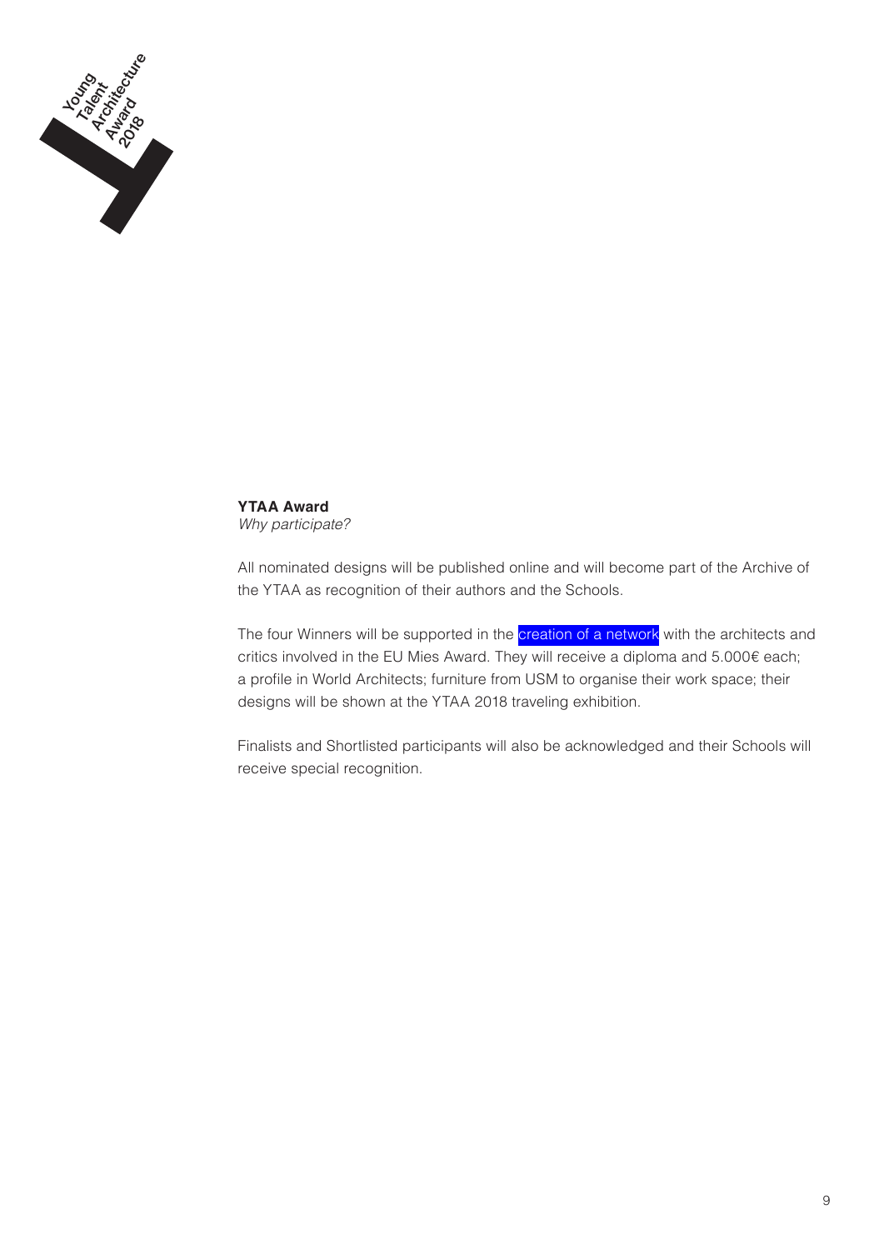

**YTAA Award** *Why participate?*

All nominated designs will be published online and will become part of the Archive of the YTAA as recognition of their authors and the Schools.

The four Winners will be supported in the *creation of a network* with the architects and critics involved in the EU Mies Award. They will receive a diploma and 5.000€ each; a profile in World Architects; furniture from USM to organise their work space; their designs will be shown at the YTAA 2018 traveling exhibition.

Finalists and Shortlisted participants will also be acknowledged and their Schools will receive special recognition.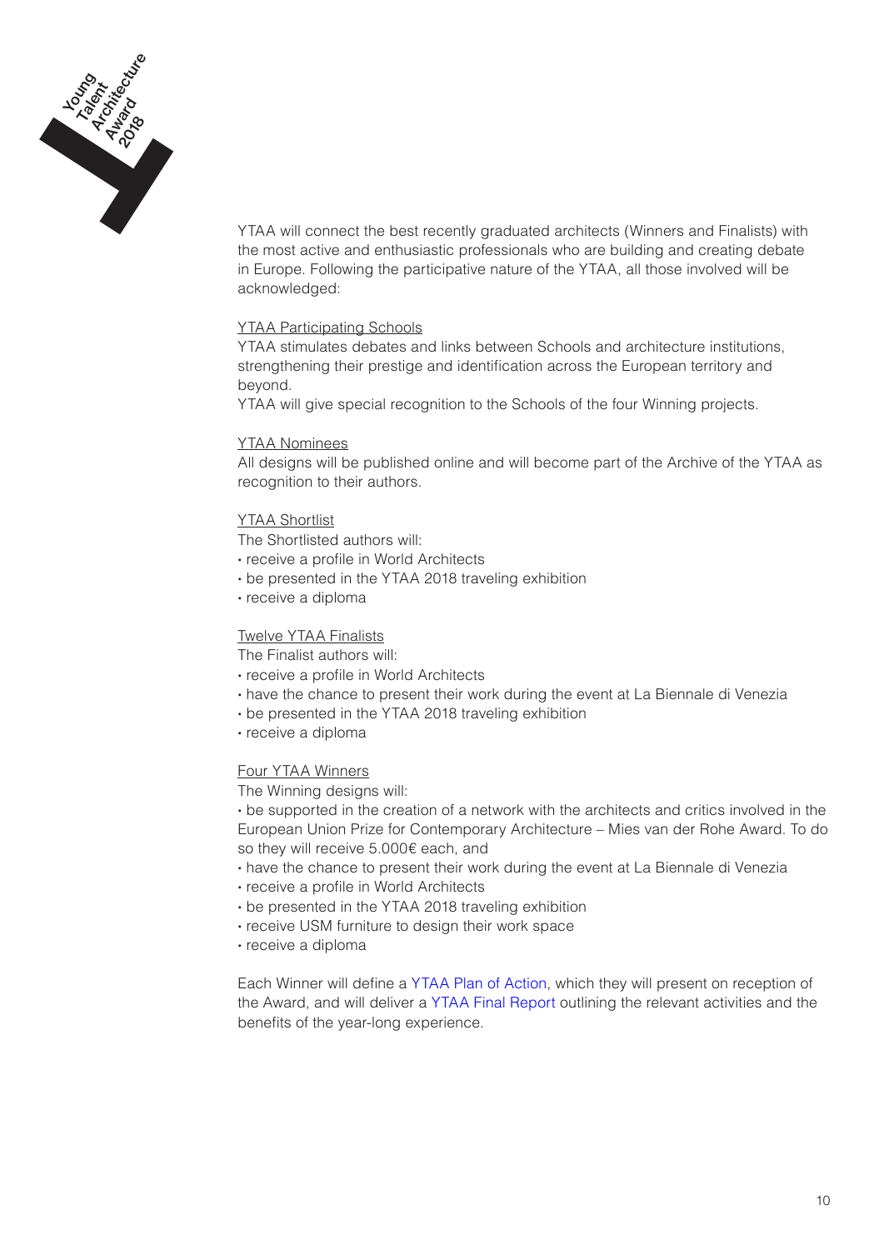

YTAA will connect the best recently graduated architects (Winners and Finalists) with the most active and enthusiastic professionals who are building and creating debate in Europe. Following the participative nature of the YTAA, all those involved will be acknowledged:

# YTAA Participating Schools

YTAA stimulates debates and links between Schools and architecture institutions, strengthening their prestige and identification across the European territory and beyond.

YTAA will give special recognition to the Schools of the four Winning projects.

## YTAA Nominees

All designs will be published online and will become part of the Archive of the YTAA as recognition to their authors.

## YTAA Shortlist

The Shortlisted authors will:

- **·** receive a profile in World Architects
- **·** be presented in the YTAA 2018 traveling exhibition
- **·** receive a diploma

# Twelve YTAA Finalists

The Finalist authors will:

- **·** receive a profile in World Architects
- **·** have the chance to present their work during the event at La Biennale di Venezia
- **·** be presented in the YTAA 2018 traveling exhibition
- **·** receive a diploma

#### Four YTAA Winners

The Winning designs will:

**·** be supported in the creation of a network with the architects and critics involved in the European Union Prize for Contemporary Architecture – Mies van der Rohe Award. To do so they will receive 5.000€ each, and

- **·** have the chance to present their work during the event at La Biennale di Venezia
- **·** receive a profile in World Architects
- **·** be presented in the YTAA 2018 traveling exhibition
- **·** receive USM furniture to design their work space
- **·** receive a diploma

Each Winner will define a YTAA Plan of Action, which they will present on reception of the Award, and will deliver a YTAA Final Report outlining the relevant activities and the benefits of the year-long experience.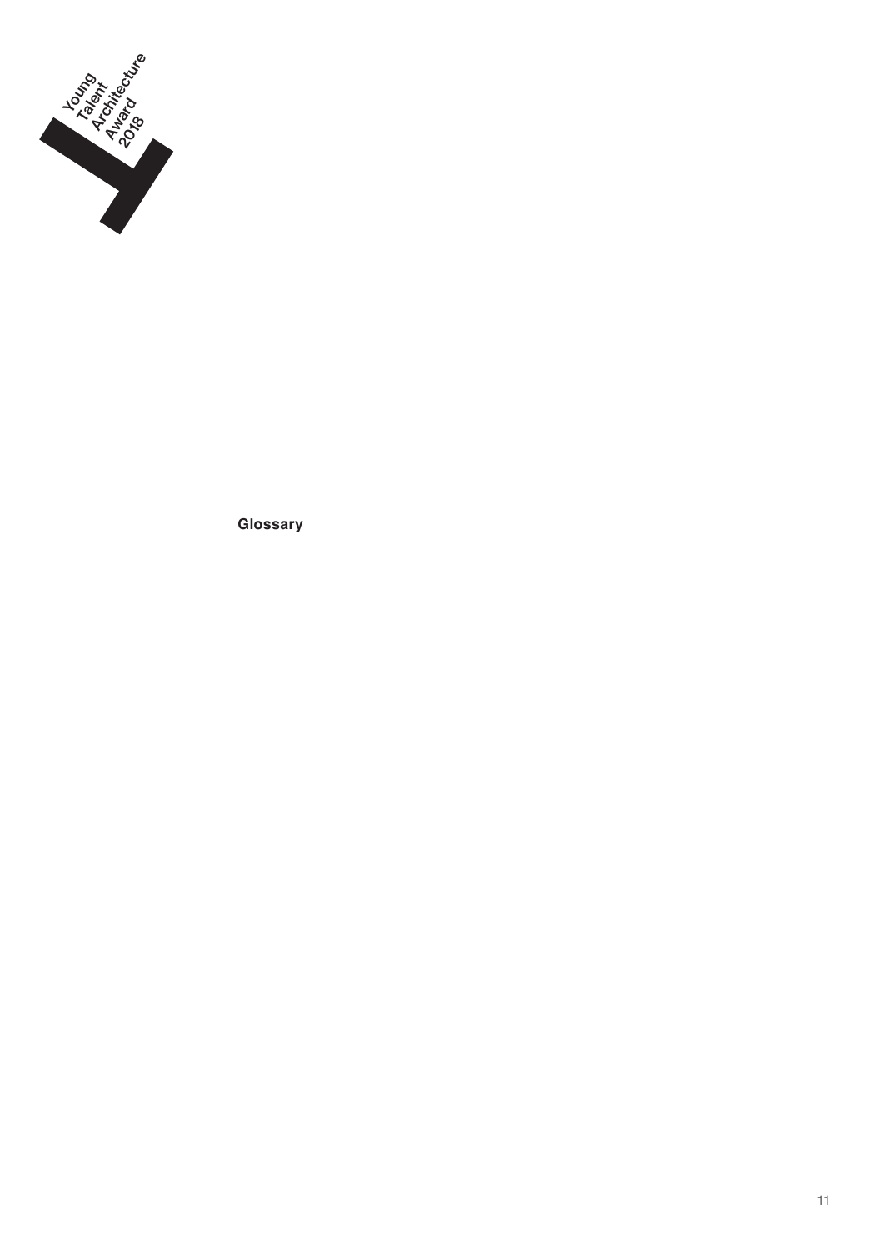

**Glossary**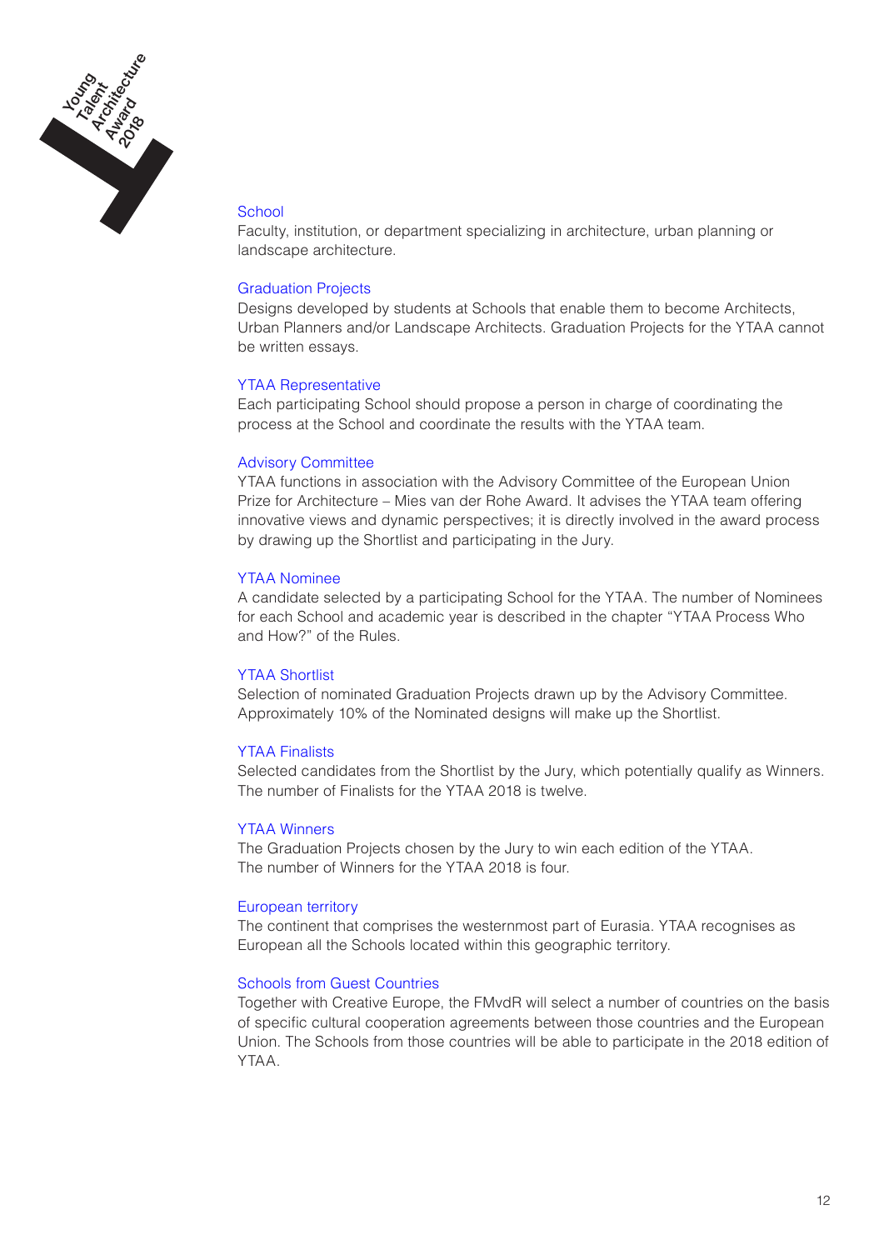

## **School**

Faculty, institution, or department specializing in architecture, urban planning or landscape architecture.

### Graduation Projects

Designs developed by students at Schools that enable them to become Architects, Urban Planners and/or Landscape Architects. Graduation Projects for the YTAA cannot be written essays.

#### YTAA Representative

Each participating School should propose a person in charge of coordinating the process at the School and coordinate the results with the YTAA team.

## Advisory Committee

YTAA functions in association with the Advisory Committee of the European Union Prize for Architecture – Mies van der Rohe Award. It advises the YTAA team offering innovative views and dynamic perspectives; it is directly involved in the award process by drawing up the Shortlist and participating in the Jury.

## YTAA Nominee

A candidate selected by a participating School for the YTAA. The number of Nominees for each School and academic year is described in the chapter "YTAA Process Who and How?" of the Rules.

### YTAA Shortlist

Selection of nominated Graduation Projects drawn up by the Advisory Committee. Approximately 10% of the Nominated designs will make up the Shortlist.

#### YTAA Finalists

Selected candidates from the Shortlist by the Jury, which potentially qualify as Winners. The number of Finalists for the YTAA 2018 is twelve.

#### YTAA Winners

The Graduation Projects chosen by the Jury to win each edition of the YTAA. The number of Winners for the YTAA 2018 is four.

# European territory

The continent that comprises the westernmost part of Eurasia. YTAA recognises as European all the Schools located within this geographic territory.

### Schools from Guest Countries

Together with Creative Europe, the FMvdR will select a number of countries on the basis of specific cultural cooperation agreements between those countries and the European Union. The Schools from those countries will be able to participate in the 2018 edition of YTAA.